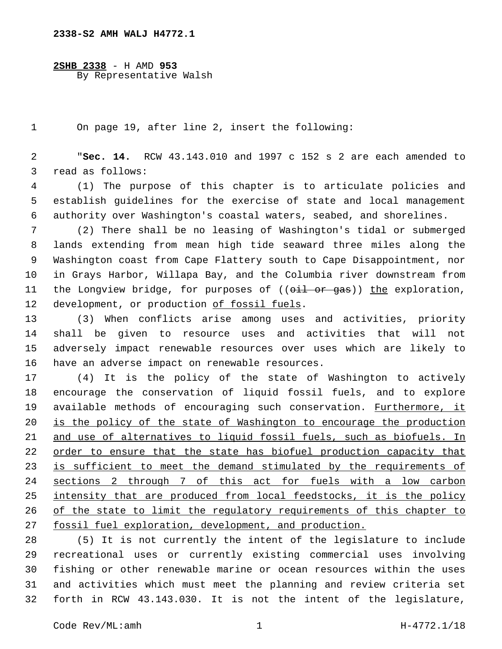**2SHB 2338** - H AMD **953** By Representative Walsh

On page 19, after line 2, insert the following:

 "**Sec. 14.** RCW 43.143.010 and 1997 c 152 s 2 are each amended to 3 read as follows:

 (1) The purpose of this chapter is to articulate policies and establish guidelines for the exercise of state and local management authority over Washington's coastal waters, seabed, and shorelines.

 (2) There shall be no leasing of Washington's tidal or submerged lands extending from mean high tide seaward three miles along the Washington coast from Cape Flattery south to Cape Disappointment, nor in Grays Harbor, Willapa Bay, and the Columbia river downstream from 11 the Longview bridge, for purposes of  $((\overrightarrow{61} + \overrightarrow{0r})$  and  $(\overrightarrow{0r})$  the exploration, 12 development, or production of fossil fuels.

 (3) When conflicts arise among uses and activities, priority shall be given to resource uses and activities that will not adversely impact renewable resources over uses which are likely to 16 have an adverse impact on renewable resources.

 (4) It is the policy of the state of Washington to actively encourage the conservation of liquid fossil fuels, and to explore 19 available methods of encouraging such conservation. Furthermore, it is the policy of the state of Washington to encourage the production and use of alternatives to liquid fossil fuels, such as biofuels. In order to ensure that the state has biofuel production capacity that 23 is sufficient to meet the demand stimulated by the requirements of sections 2 through 7 of this act for fuels with a low carbon 25 intensity that are produced from local feedstocks, it is the policy of the state to limit the regulatory requirements of this chapter to fossil fuel exploration, development, and production.

 (5) It is not currently the intent of the legislature to include recreational uses or currently existing commercial uses involving fishing or other renewable marine or ocean resources within the uses and activities which must meet the planning and review criteria set forth in RCW 43.143.030. It is not the intent of the legislature,